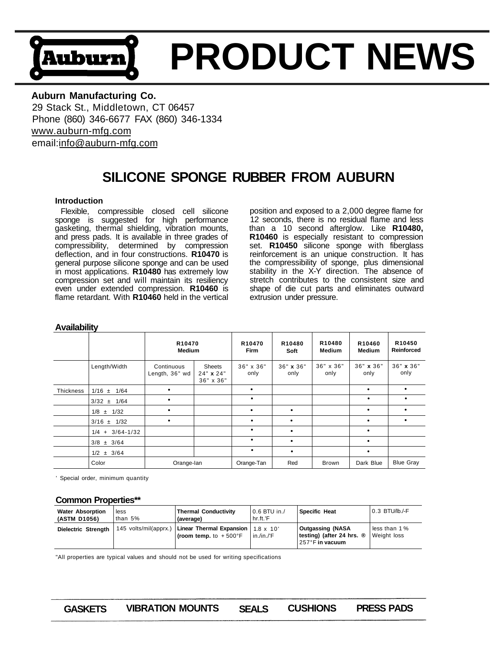# **PRODUCT NEWS**  Auburn

# **Auburn Manufacturing Co.**

29 Stack St., Middletown, CT 06457 Phone (860) 346-6677 FAX (860) 346-1334 [www.auburn-mfg.com](http://www.auburn-mfg.com)  email:[info@auburn-mfg.com](mailto:info@auburn-mfg.com) 

# **SILICONE SPONGE RUBBER FROM AUBURN**

#### **Introduction**

Flexible, compressible closed cell silicone sponge is suggested for high performance gasketing, thermal shielding, vibration mounts, and press pads. It is available in three grades of compressibility, determined by compression deflection, and in four constructions. **R10470** is general purpose silicone sponge and can be used in most applications. **R10480** has extremely low compression set and will maintain its resiliency even under extended compression. **R10460** is flame retardant. With **R10460** held in the vertical

position and exposed to a 2,000 degree flame for 12 seconds, there is no residual flame and less than a 10 second afterglow. Like **R10480, R10460** is especially resistant to compression set. **R10450** silicone sponge with fiberglass reinforcement is an unique construction. It has the compressibility of sponge, plus dimensional stability in the X-Y direction. The absence of stretch contributes to the consistent size and shape of die cut parts and eliminates outward extrusion under pressure.

| , , , , , , , , , , , , , , , |                       |                                     |                                  |                                   |                   |                   |                                     |                      |  |  |
|-------------------------------|-----------------------|-------------------------------------|----------------------------------|-----------------------------------|-------------------|-------------------|-------------------------------------|----------------------|--|--|
|                               |                       | R <sub>10470</sub><br><b>Medium</b> |                                  | R <sub>10470</sub><br><b>Firm</b> | R10480<br>Soft    | R10480<br>Medium  | R <sub>10460</sub><br><b>Medium</b> | R10450<br>Reinforced |  |  |
|                               | Length/Width          | Continuous<br>Length, 36" wd        | Sheets<br>24" x 24"<br>36" x 36" | 36" x 36"<br>only                 | 36" x 36"<br>only | 36" x 36"<br>only | 36" x 36"<br>only                   | 36" x 36"<br>only    |  |  |
| <b>Thickness</b>              | $1/16 \pm 1/64$       |                                     |                                  | $\bullet$                         |                   |                   | ٠                                   |                      |  |  |
|                               | $3/32 \pm 1/64$       |                                     |                                  | ٠                                 |                   |                   | ٠                                   |                      |  |  |
|                               | $1/8 \pm 1/32$        |                                     |                                  | $\bullet$                         | $\bullet$         |                   | ٠                                   |                      |  |  |
|                               | $3/16 \pm 1/32$       |                                     |                                  | ٠                                 |                   |                   | $\bullet$                           |                      |  |  |
|                               | $1/4$ + $3/64 - 1/32$ |                                     |                                  | ٠                                 | $\bullet$         |                   | $\bullet$                           |                      |  |  |
|                               | $3/8 \pm 3/64$        |                                     |                                  | ٠                                 |                   |                   | $\bullet$                           |                      |  |  |
|                               | $1/2 \pm 3/64$        |                                     |                                  | ٠                                 | ٠                 |                   | ٠                                   |                      |  |  |
|                               | Color                 | Orange-lan                          |                                  | Orange-Tan                        | Red               | <b>Brown</b>      | Dark Blue                           | <b>Blue Gray</b>     |  |  |

# **Availability**

' Special order, minimum quantity

#### **Common Properties\*\***

| <b>Water Absorption</b><br>(ASTM D1056) | less<br>than $5%$     | <b>Thermal Conductivity</b><br>(average)                                       | $0.6$ BTU in./<br>hr.ft.'F | <b>Specific Heat</b>                                                              | 0.3 BTU/lb./-F              |
|-----------------------------------------|-----------------------|--------------------------------------------------------------------------------|----------------------------|-----------------------------------------------------------------------------------|-----------------------------|
| Dielectric Strenath                     | 145 volts/mil(apprx.) | Linear Thermal Expansion   $1.8 \times 10'$<br>(room temp. to $+500^{\circ}$ F | in $/in.F$                 | <b>Outgassing (NASA</b><br>testing) (after 24 hrs. $\circledR$<br>257°F in vacuum | less than 1%<br>Weight loss |

"All properties are typical values and should not be used for writing specifications